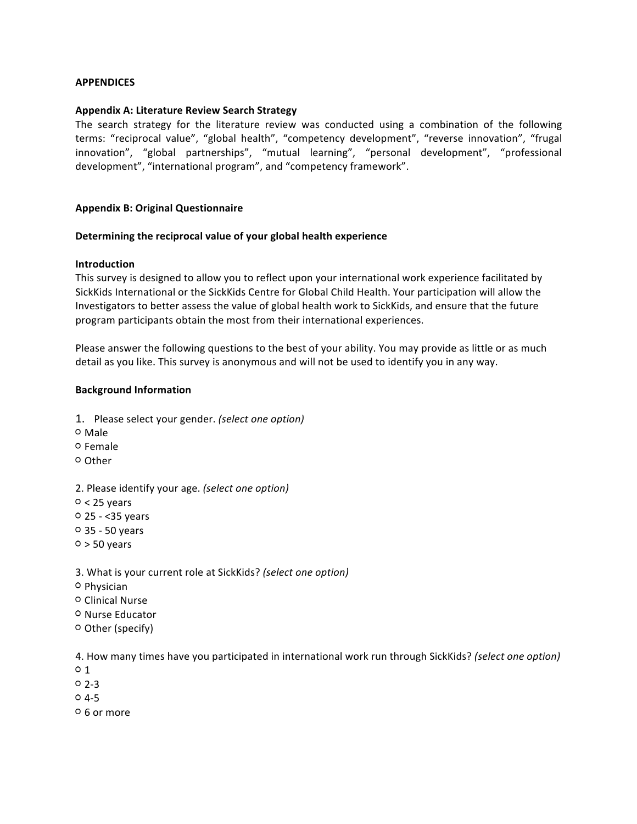### **APPENDICES**

#### **Appendix A: Literature Review Search Strategy**

The search strategy for the literature review was conducted using a combination of the following terms: "reciprocal value", "global health", "competency development", "reverse innovation", "frugal innovation", "global partnerships", "mutual learning", "personal development", "professional development", "international program", and "competency framework".

#### **Appendix B: Original Questionnaire**

#### **Determining the reciprocal value of your global health experience**

#### **Introduction**

This survey is designed to allow you to reflect upon your international work experience facilitated by SickKids International or the SickKids Centre for Global Child Health. Your participation will allow the Investigators to better assess the value of global health work to SickKids, and ensure that the future program participants obtain the most from their international experiences.

Please answer the following questions to the best of your ability. You may provide as little or as much detail as you like. This survey is anonymous and will not be used to identify you in any way.

#### **Background Information**

- 1. Please select your gender. *(select one option)*
- Male
- <sup>O</sup> Female
- Other
- 2. Please identify your age. *(select one option)*
- $0 < 25$  years
- $0$  25 < 35 years
- 35 50 years
- $0 > 50$  years
- 3. What is your current role at SickKids? *(select one option)*
- Physician
- Clinical Nurse
- o Nurse Educator
- Other (specify)

4. How many times have you participated in international work run through SickKids? *(select one option)*

- $0<sub>1</sub>$
- $0, 2-3$
- $04-5$
- 6 or more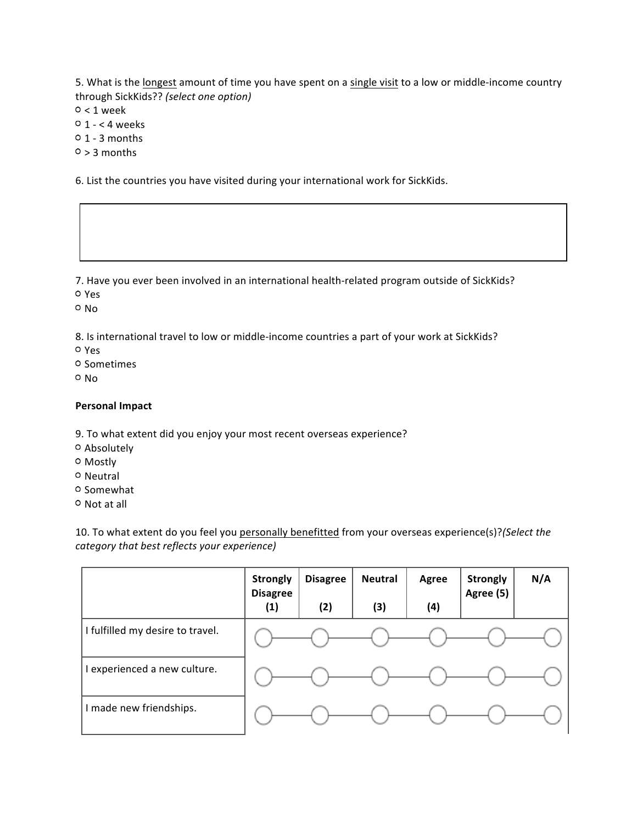5. What is the longest amount of time you have spent on a single visit to a low or middle-income country through SickKids?? *(select one option)*

 $0 < 1$  week

 $0 \t1 - < 4$  weeks

 $0$  1 - 3 months

 $0 > 3$  months

6. List the countries you have visited during your international work for SickKids.

7. Have you ever been involved in an international health-related program outside of SickKids?

Yes

 $O$  No.

8. Is international travel to low or middle-income countries a part of your work at SickKids?

Yes

o Sometimes

o No

#### **Personal Impact**

9. To what extent did you enjoy your most recent overseas experience?

- Absolutely
- Mostly
- o Neutral
- o Somewhat

o Not at all

10. To what extent do you feel you personally benefitted from your overseas experience(s)?*(Select the category that best reflects your experience)*

|                                  | <b>Strongly</b><br><b>Disagree</b> | <b>Disagree</b> | <b>Neutral</b> | Agree | <b>Strongly</b><br>Agree (5) | N/A |
|----------------------------------|------------------------------------|-----------------|----------------|-------|------------------------------|-----|
|                                  | (1)                                | (2)             | (3)            | (4)   |                              |     |
| I fulfilled my desire to travel. |                                    |                 |                |       |                              |     |
| experienced a new culture.       |                                    |                 |                |       |                              |     |
| made new friendships.            |                                    |                 |                |       |                              |     |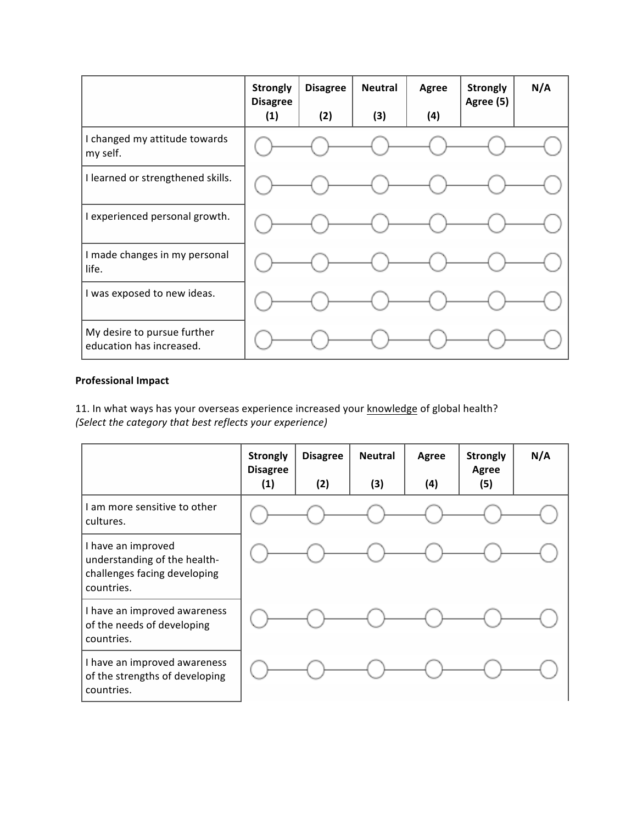|                                                         | <b>Strongly</b><br><b>Disagree</b> | <b>Disagree</b> | <b>Neutral</b> | Agree | <b>Strongly</b><br>Agree (5) | N/A |
|---------------------------------------------------------|------------------------------------|-----------------|----------------|-------|------------------------------|-----|
|                                                         | (1)                                | (2)             | (3)            | (4)   |                              |     |
| I changed my attitude towards<br>my self.               |                                    |                 |                |       |                              |     |
| I learned or strengthened skills.                       |                                    |                 |                |       |                              |     |
| I experienced personal growth.                          |                                    |                 |                |       |                              |     |
| I made changes in my personal<br>life.                  |                                    |                 |                |       |                              |     |
| I was exposed to new ideas.                             |                                    |                 |                |       |                              |     |
| My desire to pursue further<br>education has increased. |                                    |                 |                |       |                              |     |

## **Professional Impact**

11. In what ways has your overseas experience increased your knowledge of global health? *(Select the category that best reflects your experience)*

|                                                                                                  | <b>Strongly</b><br><b>Disagree</b><br>(1) | <b>Disagree</b><br>(2) | <b>Neutral</b><br>(3) | Agree<br>(4) | <b>Strongly</b><br><b>Agree</b><br>(5) | N/A |
|--------------------------------------------------------------------------------------------------|-------------------------------------------|------------------------|-----------------------|--------------|----------------------------------------|-----|
| I am more sensitive to other<br>cultures.                                                        |                                           |                        |                       |              |                                        |     |
| I have an improved<br>understanding of the health-<br>challenges facing developing<br>countries. |                                           |                        |                       |              |                                        |     |
| I have an improved awareness<br>of the needs of developing<br>countries.                         |                                           |                        |                       |              |                                        |     |
| I have an improved awareness<br>of the strengths of developing<br>countries.                     |                                           |                        |                       |              |                                        |     |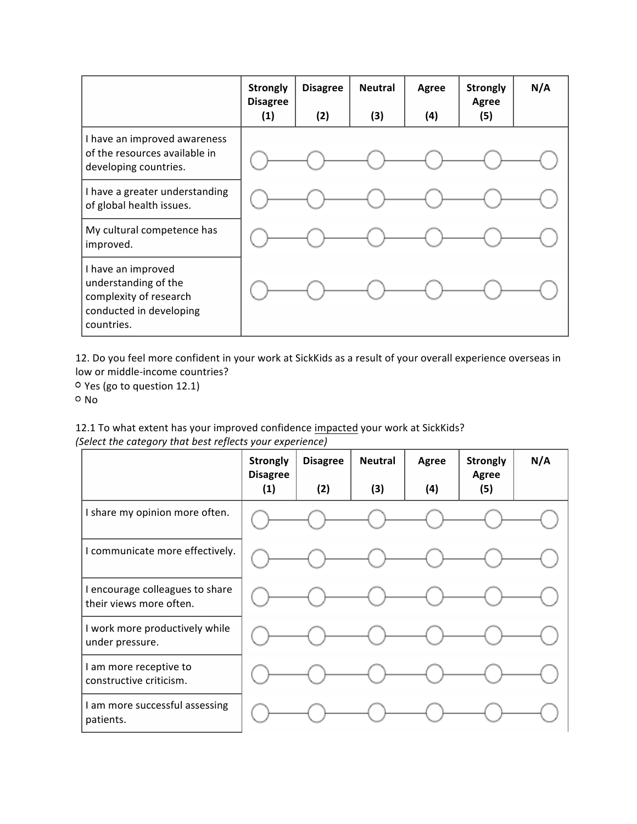|                                                                                                               | <b>Strongly</b><br><b>Disagree</b><br>(1) | <b>Disagree</b><br>(2) | <b>Neutral</b><br>(3) | Agree<br>(4) | <b>Strongly</b><br>Agree<br>(5) | N/A |
|---------------------------------------------------------------------------------------------------------------|-------------------------------------------|------------------------|-----------------------|--------------|---------------------------------|-----|
| I have an improved awareness<br>of the resources available in<br>developing countries.                        |                                           |                        |                       |              |                                 |     |
| I have a greater understanding<br>of global health issues.                                                    |                                           |                        |                       |              |                                 |     |
| My cultural competence has<br>improved.                                                                       |                                           |                        |                       |              |                                 |     |
| I have an improved<br>understanding of the<br>complexity of research<br>conducted in developing<br>countries. |                                           |                        |                       |              |                                 |     |

12. Do you feel more confident in your work at SickKids as a result of your overall experience overseas in low or middle-income countries?

Yes (go to question 12.1) o No

| 12.1 To what extent has your improved confidence impacted your work at SickKids? |  |
|----------------------------------------------------------------------------------|--|
| (Select the category that best reflects your experience)                         |  |

|                                                            | <b>Strongly</b><br><b>Disagree</b><br>(1) | <b>Disagree</b><br>(2) | <b>Neutral</b><br>(3) | Agree<br>(4) | <b>Strongly</b><br>Agree<br>(5) | N/A |
|------------------------------------------------------------|-------------------------------------------|------------------------|-----------------------|--------------|---------------------------------|-----|
| I share my opinion more often.                             |                                           |                        |                       |              |                                 |     |
| I communicate more effectively.                            |                                           |                        |                       |              |                                 |     |
| I encourage colleagues to share<br>their views more often. |                                           |                        |                       |              |                                 |     |
| I work more productively while<br>under pressure.          |                                           |                        |                       |              |                                 |     |
| I am more receptive to<br>constructive criticism.          |                                           |                        |                       |              |                                 |     |
| I am more successful assessing<br>patients.                |                                           |                        |                       |              |                                 |     |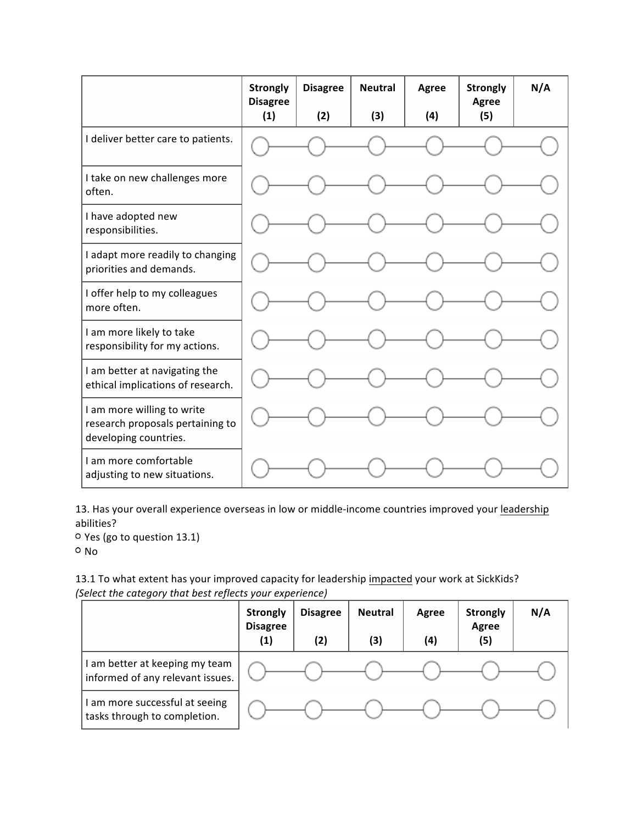|                                                                                         | <b>Strongly</b><br><b>Disagree</b> | <b>Disagree</b> | <b>Neutral</b> | Agree | <b>Strongly</b><br>Agree | N/A |
|-----------------------------------------------------------------------------------------|------------------------------------|-----------------|----------------|-------|--------------------------|-----|
| I deliver better care to patients.                                                      | (1)                                | (2)             | (3)            | (4)   | (5)                      |     |
| I take on new challenges more<br>often.                                                 |                                    |                 |                |       |                          |     |
| I have adopted new<br>responsibilities.                                                 |                                    |                 |                |       |                          |     |
| I adapt more readily to changing<br>priorities and demands.                             |                                    |                 |                |       |                          |     |
| I offer help to my colleagues<br>more often.                                            |                                    |                 |                |       |                          |     |
| I am more likely to take<br>responsibility for my actions.                              |                                    |                 |                |       |                          |     |
| I am better at navigating the<br>ethical implications of research.                      |                                    |                 |                |       |                          |     |
| I am more willing to write<br>research proposals pertaining to<br>developing countries. |                                    |                 |                |       |                          |     |
| I am more comfortable<br>adjusting to new situations.                                   |                                    |                 |                |       |                          |     |

13. Has your overall experience overseas in low or middle-income countries improved your leadership abilities?

Yes (go to question 13.1) o No

13.1 To what extent has your improved capacity for leadership impacted your work at SickKids? *(Select the category that best reflects your experience)*

|                                                                    | <b>Strongly</b><br><b>Disagree</b><br>(1) | <b>Disagree</b><br>(2) | <b>Neutral</b><br>(3) | Agree<br>(4) | <b>Strongly</b><br>Agree<br>(5) | N/A |
|--------------------------------------------------------------------|-------------------------------------------|------------------------|-----------------------|--------------|---------------------------------|-----|
| I am better at keeping my team<br>informed of any relevant issues. |                                           |                        |                       |              |                                 |     |
| I am more successful at seeing<br>tasks through to completion.     |                                           |                        |                       |              |                                 |     |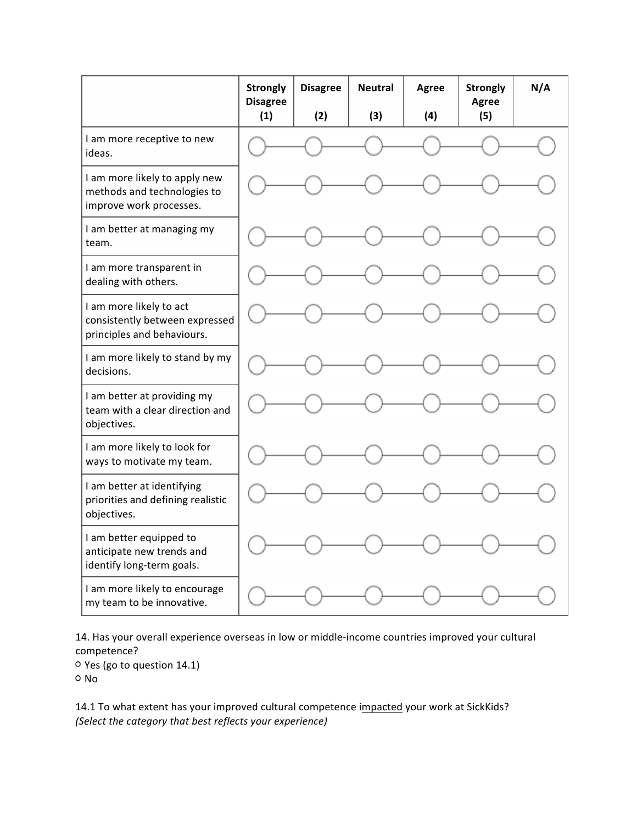|                                                                                         | <b>Strongly</b><br><b>Disagree</b><br>(1) | <b>Disagree</b><br>(2) | <b>Neutral</b><br>(3) | Agree<br>(4) | <b>Strongly</b><br>Agree<br>(5) | N/A |
|-----------------------------------------------------------------------------------------|-------------------------------------------|------------------------|-----------------------|--------------|---------------------------------|-----|
| I am more receptive to new<br>ideas.                                                    |                                           |                        |                       |              |                                 |     |
| I am more likely to apply new<br>methods and technologies to<br>improve work processes. |                                           |                        |                       |              |                                 |     |
| I am better at managing my<br>team.                                                     |                                           |                        |                       |              |                                 |     |
| I am more transparent in<br>dealing with others.                                        |                                           |                        |                       |              |                                 |     |
| I am more likely to act<br>consistently between expressed<br>principles and behaviours. |                                           |                        |                       |              |                                 |     |
| I am more likely to stand by my<br>decisions.                                           |                                           |                        |                       |              |                                 |     |
| I am better at providing my<br>team with a clear direction and<br>objectives.           |                                           |                        |                       |              |                                 |     |
| I am more likely to look for<br>ways to motivate my team.                               |                                           |                        |                       |              |                                 |     |
| I am better at identifying<br>priorities and defining realistic<br>objectives.          |                                           |                        |                       |              |                                 |     |
| I am better equipped to<br>anticipate new trends and<br>identify long-term goals.       |                                           |                        |                       |              |                                 |     |
| I am more likely to encourage<br>my team to be innovative.                              |                                           |                        |                       |              |                                 |     |

14. Has your overall experience overseas in low or middle-income countries improved your cultural competence?

Yes (go to question 14.1) <sup>o</sup> No

14.1 To what extent has your improved cultural competence impacted your work at SickKids? *(Select the category that best reflects your experience)*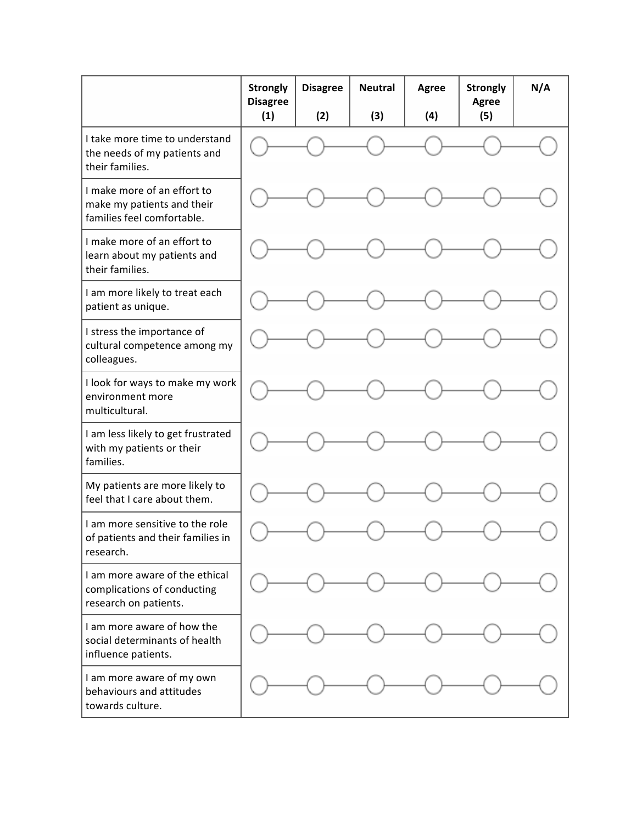|                                                                                         | <b>Strongly</b><br><b>Disagree</b> | <b>Disagree</b> | <b>Neutral</b> | <b>Agree</b> | <b>Strongly</b><br>Agree | N/A |
|-----------------------------------------------------------------------------------------|------------------------------------|-----------------|----------------|--------------|--------------------------|-----|
|                                                                                         | (1)                                | (2)             | (3)            | (4)          | (5)                      |     |
| I take more time to understand<br>the needs of my patients and<br>their families.       |                                    |                 |                |              |                          |     |
| I make more of an effort to<br>make my patients and their<br>families feel comfortable. |                                    |                 |                |              |                          |     |
| I make more of an effort to<br>learn about my patients and<br>their families.           |                                    |                 |                |              |                          |     |
| I am more likely to treat each<br>patient as unique.                                    |                                    |                 |                |              |                          |     |
| I stress the importance of<br>cultural competence among my<br>colleagues.               |                                    |                 |                |              |                          |     |
| I look for ways to make my work<br>environment more<br>multicultural.                   |                                    |                 |                |              |                          |     |
| I am less likely to get frustrated<br>with my patients or their<br>families.            |                                    |                 |                |              |                          |     |
| My patients are more likely to<br>feel that I care about them.                          |                                    |                 |                |              |                          |     |
| I am more sensitive to the role<br>of patients and their families in<br>research.       |                                    |                 |                |              |                          |     |
| I am more aware of the ethical<br>complications of conducting<br>research on patients.  |                                    |                 |                |              |                          |     |
| I am more aware of how the<br>social determinants of health<br>influence patients.      |                                    |                 |                |              |                          |     |
| I am more aware of my own<br>behaviours and attitudes<br>towards culture.               |                                    |                 |                |              |                          |     |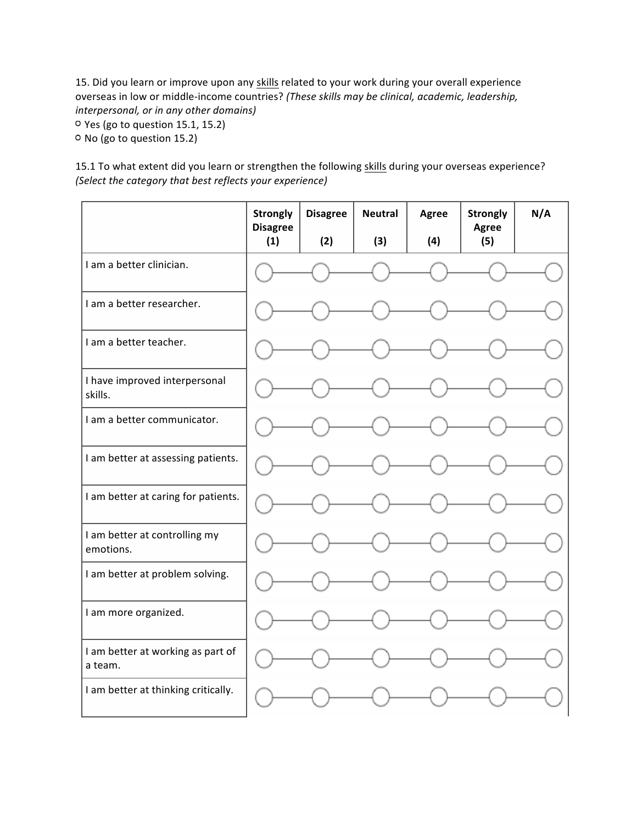15. Did you learn or improve upon any skills related to your work during your overall experience overseas in low or middle-income countries? *(These skills may be clinical, academic, leadership, interpersonal, or in any other domains)*

Yes (go to question 15.1, 15.2)

<sup>o</sup> No (go to question 15.2)

15.1 To what extent did you learn or strengthen the following skills during your overseas experience? *(Select the category that best reflects your experience)*

|                                              | <b>Strongly</b><br><b>Disagree</b> | <b>Disagree</b> | <b>Neutral</b> | Agree | <b>Strongly</b><br>Agree | N/A |
|----------------------------------------------|------------------------------------|-----------------|----------------|-------|--------------------------|-----|
|                                              | (1)                                | (2)             | (3)            | (4)   | (5)                      |     |
| I am a better clinician.                     |                                    |                 |                |       |                          |     |
| I am a better researcher.                    |                                    |                 |                |       |                          |     |
| I am a better teacher.                       |                                    |                 |                |       |                          |     |
| I have improved interpersonal<br>skills.     |                                    |                 |                |       |                          |     |
| I am a better communicator.                  |                                    |                 |                |       |                          |     |
| I am better at assessing patients.           |                                    |                 |                |       |                          |     |
| I am better at caring for patients.          |                                    |                 |                |       |                          |     |
| I am better at controlling my<br>emotions.   |                                    |                 |                |       |                          |     |
| I am better at problem solving.              |                                    |                 |                |       |                          |     |
| I am more organized.                         |                                    |                 |                |       |                          |     |
| I am better at working as part of<br>a team. |                                    |                 |                |       |                          |     |
| I am better at thinking critically.          |                                    |                 |                |       |                          |     |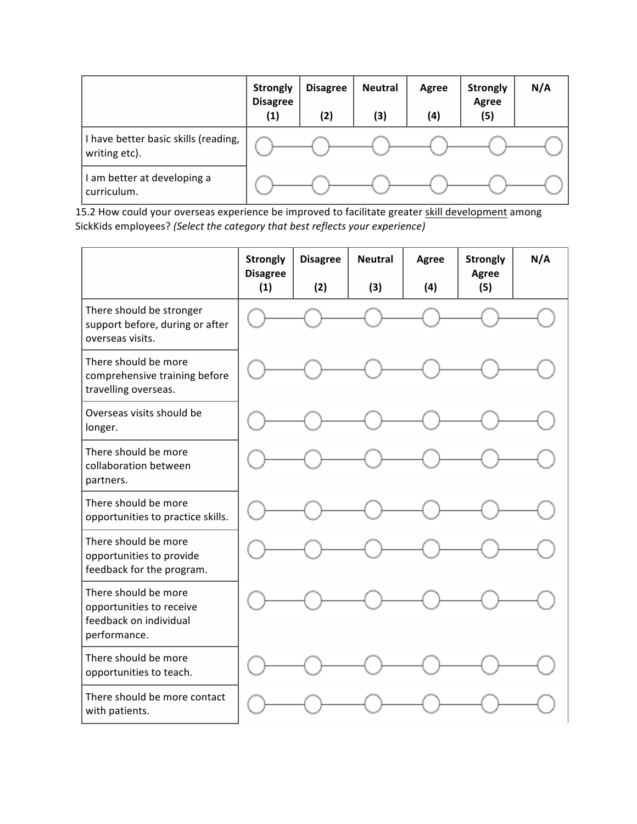|                                                       | <b>Strongly</b><br><b>Disagree</b><br>$\left( 1\right)$ | <b>Disagree</b><br>(2) | <b>Neutral</b><br>(3) | Agree<br>(4) | <b>Strongly</b><br>Agree<br>(5) | N/A |
|-------------------------------------------------------|---------------------------------------------------------|------------------------|-----------------------|--------------|---------------------------------|-----|
| I have better basic skills (reading,<br>writing etc). |                                                         |                        |                       |              |                                 |     |
| l am better at developing a<br>curriculum.            |                                                         |                        |                       |              |                                 |     |

15.2 How could your overseas experience be improved to facilitate greater skill development among SickKids employees? *(Select the category that best reflects your experience)*

|                                                                                            | <b>Strongly</b><br><b>Disagree</b><br>(1) | <b>Disagree</b><br>(2) | <b>Neutral</b><br>(3) | <b>Agree</b><br>(4) | <b>Strongly</b><br>Agree<br>(5) | N/A |
|--------------------------------------------------------------------------------------------|-------------------------------------------|------------------------|-----------------------|---------------------|---------------------------------|-----|
| There should be stronger<br>support before, during or after<br>overseas visits.            |                                           |                        |                       |                     |                                 |     |
| There should be more<br>comprehensive training before<br>travelling overseas.              |                                           |                        |                       |                     |                                 |     |
| Overseas visits should be<br>longer.                                                       |                                           |                        |                       |                     |                                 |     |
| There should be more<br>collaboration between<br>partners.                                 |                                           |                        |                       |                     |                                 |     |
| There should be more<br>opportunities to practice skills.                                  |                                           |                        |                       |                     |                                 |     |
| There should be more<br>opportunities to provide<br>feedback for the program.              |                                           |                        |                       |                     |                                 |     |
| There should be more<br>opportunities to receive<br>feedback on individual<br>performance. |                                           |                        |                       |                     |                                 |     |
| There should be more<br>opportunities to teach.                                            |                                           |                        |                       |                     |                                 |     |
| There should be more contact<br>with patients.                                             |                                           |                        |                       |                     |                                 |     |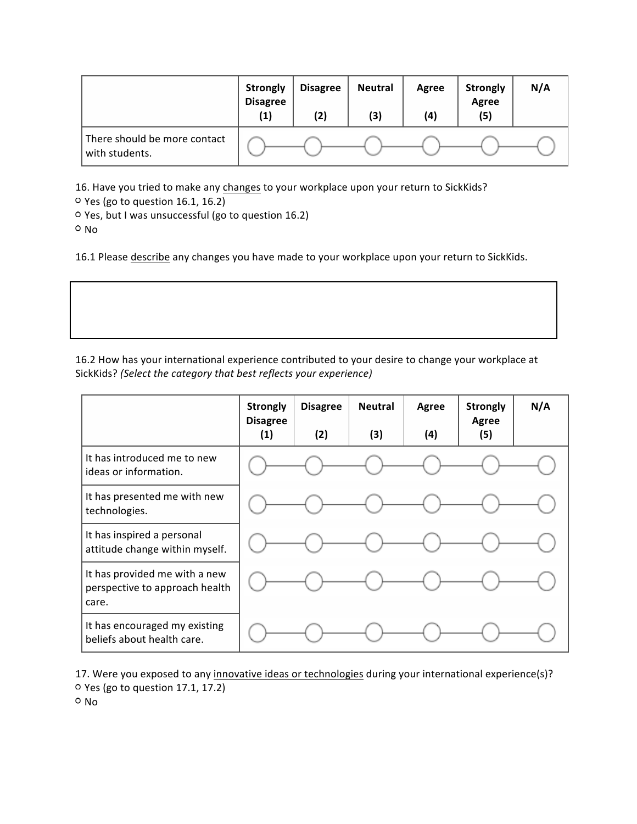|                                                | <b>Strongly</b><br><b>Disagree</b><br>(1) | <b>Disagree</b><br>(2) | <b>Neutral</b><br>(3) | Agree<br>(4) | <b>Strongly</b><br>Agree<br>(5) | N/A |
|------------------------------------------------|-------------------------------------------|------------------------|-----------------------|--------------|---------------------------------|-----|
| There should be more contact<br>with students. |                                           |                        |                       |              |                                 |     |

16. Have you tried to make any changes to your workplace upon your return to SickKids?

Yes (go to question 16.1, 16.2)

Yes, but I was unsuccessful (go to question 16.2)

o No

16.1 Please describe any changes you have made to your workplace upon your return to SickKids.

16.2 How has your international experience contributed to your desire to change your workplace at SickKids? *(Select the category that best reflects your experience)*

|                                                                          | <b>Strongly</b><br><b>Disagree</b><br>(1) | <b>Disagree</b><br>(2) | <b>Neutral</b><br>(3) | Agree<br>(4) | <b>Strongly</b><br>Agree<br>(5) | N/A |
|--------------------------------------------------------------------------|-------------------------------------------|------------------------|-----------------------|--------------|---------------------------------|-----|
| It has introduced me to new<br>ideas or information.                     |                                           |                        |                       |              |                                 |     |
| It has presented me with new<br>technologies.                            |                                           |                        |                       |              |                                 |     |
| It has inspired a personal<br>attitude change within myself.             |                                           |                        |                       |              |                                 |     |
| It has provided me with a new<br>perspective to approach health<br>care. |                                           |                        |                       |              |                                 |     |
| It has encouraged my existing<br>beliefs about health care.              |                                           |                        |                       |              |                                 |     |

17. Were you exposed to any innovative ideas or technologies during your international experience(s)? Yes (go to question 17.1, 17.2)

o No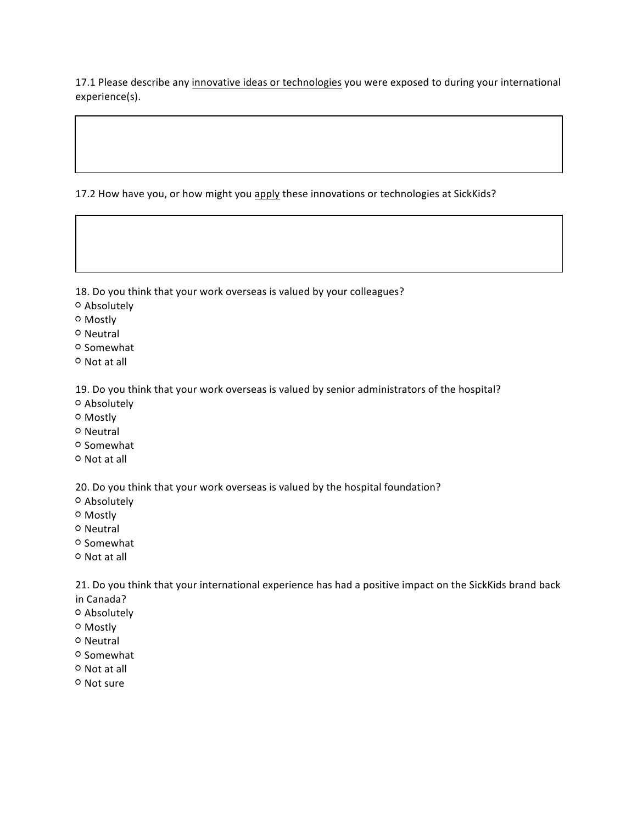17.1 Please describe any innovative ideas or technologies you were exposed to during your international experience(s).

17.2 How have you, or how might you apply these innovations or technologies at SickKids?

18. Do you think that your work overseas is valued by your colleagues?

- Absolutely
- Mostly
- o Neutral
- o Somewhat
- o Not at all

19. Do you think that your work overseas is valued by senior administrators of the hospital?

- Absolutely
- o Mostly
- O Neutral
- <sup>O</sup> Somewhat
- <sup>O</sup> Not at all

20. Do you think that your work overseas is valued by the hospital foundation?

- Absolutely
- Mostly
- o Neutral
- o Somewhat
- Not at all

21. Do you think that your international experience has had a positive impact on the SickKids brand back in Canada?

- Absolutely
- 
- o Mostly
- o Neutral
- O Somewhat
- Not at all
- o Not sure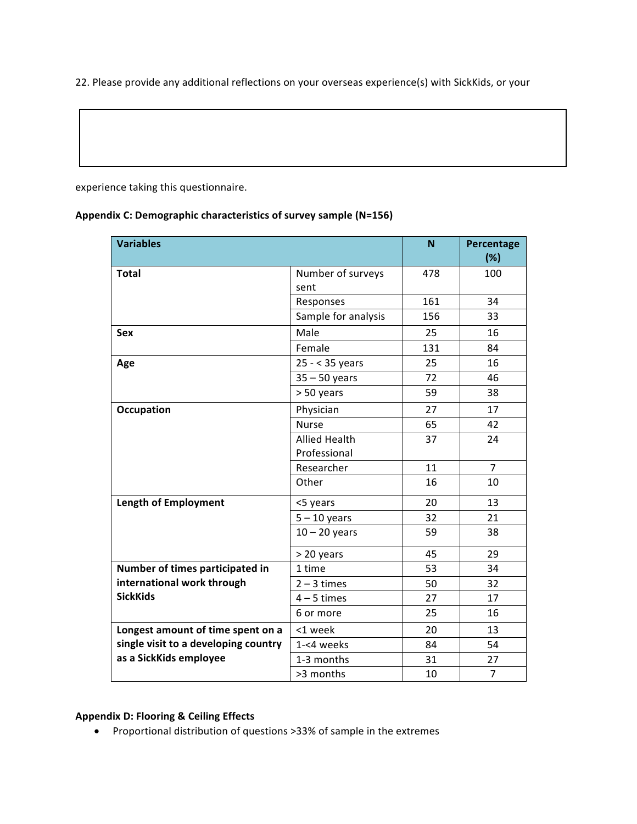22. Please provide any additional reflections on your overseas experience(s) with SickKids, or your

experience taking this questionnaire.

#### Appendix C: Demographic characteristics of survey sample (N=156)

| <b>Variables</b>                     |                      | N   | Percentage<br>(%) |
|--------------------------------------|----------------------|-----|-------------------|
| <b>Total</b>                         | Number of surveys    | 478 | 100               |
|                                      | sent                 |     |                   |
|                                      | Responses            | 161 | 34                |
|                                      | Sample for analysis  | 156 | 33                |
| <b>Sex</b>                           | Male                 | 25  | 16                |
|                                      | Female               | 131 | 84                |
| Age                                  | 25 - < 35 years      | 25  | 16                |
|                                      | $35 - 50$ years      | 72  | 46                |
|                                      | > 50 years           | 59  | 38                |
| Occupation                           | Physician            | 27  | 17                |
|                                      | <b>Nurse</b>         | 65  | 42                |
|                                      | <b>Allied Health</b> | 37  | 24                |
|                                      | Professional         |     |                   |
|                                      | Researcher           | 11  | $\overline{7}$    |
|                                      | Other                | 16  | 10                |
| <b>Length of Employment</b>          | <5 years             | 20  | 13                |
|                                      | $5 - 10$ years       | 32  | 21                |
|                                      | $10 - 20$ years      | 59  | 38                |
|                                      | > 20 years           | 45  | 29                |
| Number of times participated in      | 1 time               | 53  | 34                |
| international work through           | $2 - 3$ times        | 50  | 32                |
| <b>SickKids</b>                      | $4 - 5$ times        | 27  | 17                |
|                                      | 6 or more            | 25  | 16                |
| Longest amount of time spent on a    | <1 week              | 20  | 13                |
| single visit to a developing country | 1-<4 weeks           | 84  | 54                |
| as a SickKids employee               | 1-3 months           | 31  | 27                |
|                                      | >3 months            | 10  | $\overline{7}$    |

## **Appendix D: Flooring & Ceiling Effects**

• Proportional distribution of questions >33% of sample in the extremes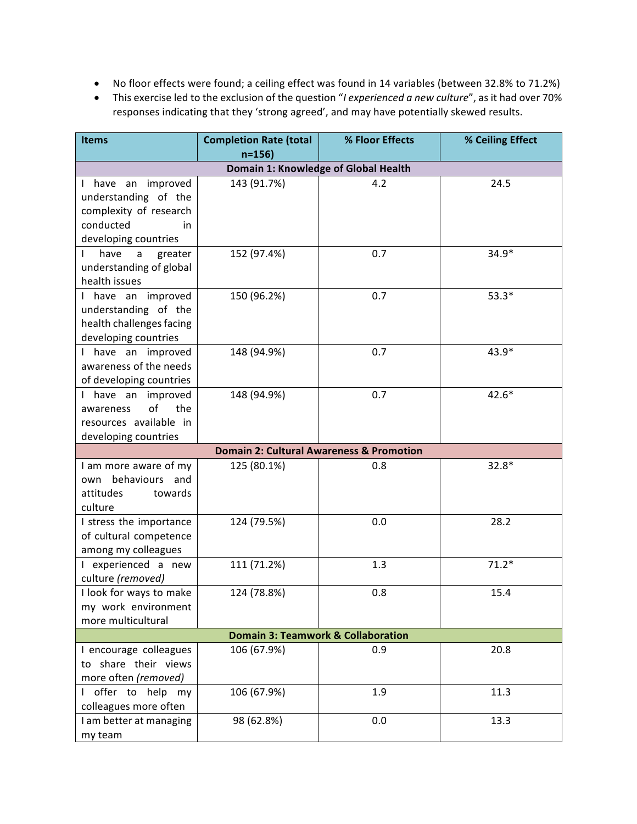- No floor effects were found; a ceiling effect was found in 14 variables (between 32.8% to 71.2%)
- This exercise led to the exclusion of the question "*I experienced a new culture*", as it had over 70% responses indicating that they 'strong agreed', and may have potentially skewed results.

| <b>Items</b>                                                                                                    | <b>Completion Rate (total</b><br>$n = 156$          | % Floor Effects | % Ceiling Effect |  |  |  |
|-----------------------------------------------------------------------------------------------------------------|-----------------------------------------------------|-----------------|------------------|--|--|--|
|                                                                                                                 | Domain 1: Knowledge of Global Health                |                 |                  |  |  |  |
| I have an improved<br>understanding of the<br>complexity of research<br>conducted<br>in<br>developing countries | 143 (91.7%)                                         | 4.2             | 24.5             |  |  |  |
| have<br>$\mathsf{a}$<br>greater<br>understanding of global<br>health issues                                     | 152 (97.4%)                                         | 0.7             | $34.9*$          |  |  |  |
| I have an improved<br>understanding of the<br>health challenges facing<br>developing countries                  | 150 (96.2%)                                         | 0.7             | $53.3*$          |  |  |  |
| I have an improved<br>awareness of the needs<br>of developing countries                                         | 148 (94.9%)                                         | 0.7             | 43.9*            |  |  |  |
| I have an improved<br>of<br>the<br>awareness<br>resources available in<br>developing countries                  | 148 (94.9%)                                         | 0.7             | $42.6*$          |  |  |  |
|                                                                                                                 | <b>Domain 2: Cultural Awareness &amp; Promotion</b> |                 |                  |  |  |  |
| I am more aware of my<br>behaviours and<br>own<br>attitudes<br>towards<br>culture                               | 125 (80.1%)                                         | 0.8             | $32.8*$          |  |  |  |
| I stress the importance<br>of cultural competence<br>among my colleagues                                        | 124 (79.5%)                                         | 0.0             | 28.2             |  |  |  |
| I experienced a new<br>culture (removed)                                                                        | 111 (71.2%)                                         | 1.3             | $71.2*$          |  |  |  |
| I look for ways to make<br>my work environment<br>more multicultural                                            | 124 (78.8%)                                         | 0.8             | 15.4             |  |  |  |
| <b>Domain 3: Teamwork &amp; Collaboration</b>                                                                   |                                                     |                 |                  |  |  |  |
| I encourage colleagues<br>to share their views<br>more often (removed)                                          | 106 (67.9%)                                         | 0.9             | 20.8             |  |  |  |
| I offer to help my<br>colleagues more often                                                                     | 106 (67.9%)                                         | 1.9             | 11.3             |  |  |  |
| I am better at managing<br>my team                                                                              | 98 (62.8%)                                          | 0.0             | 13.3             |  |  |  |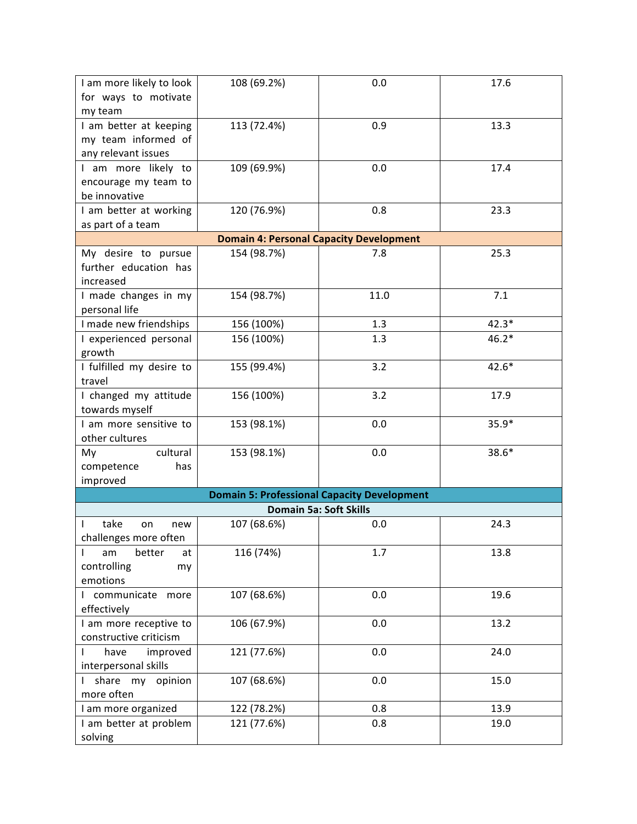| I am more likely to look           | 108 (69.2%) | 0.0                                                | 17.6    |
|------------------------------------|-------------|----------------------------------------------------|---------|
| for ways to motivate               |             |                                                    |         |
| my team                            |             |                                                    |         |
| I am better at keeping             | 113 (72.4%) | 0.9                                                | 13.3    |
| my team informed of                |             |                                                    |         |
| any relevant issues                |             |                                                    |         |
| I am more likely to                | 109 (69.9%) | 0.0                                                | 17.4    |
| encourage my team to               |             |                                                    |         |
| be innovative                      |             |                                                    |         |
| I am better at working             | 120 (76.9%) | 0.8                                                | 23.3    |
| as part of a team                  |             |                                                    |         |
|                                    |             | <b>Domain 4: Personal Capacity Development</b>     |         |
| My desire to pursue                | 154 (98.7%) | 7.8                                                | 25.3    |
| further education has              |             |                                                    |         |
| increased                          |             |                                                    |         |
| I made changes in my               | 154 (98.7%) | 11.0                                               | 7.1     |
| personal life                      |             |                                                    |         |
| I made new friendships             | 156 (100%)  | 1.3                                                | $42.3*$ |
| I experienced personal             | 156 (100%)  | 1.3                                                | $46.2*$ |
| growth                             |             |                                                    |         |
| I fulfilled my desire to           | 155 (99.4%) | 3.2                                                | $42.6*$ |
| travel                             |             |                                                    |         |
| I changed my attitude              | 156 (100%)  | 3.2                                                | 17.9    |
| towards myself                     |             |                                                    |         |
| I am more sensitive to             | 153 (98.1%) | 0.0                                                | $35.9*$ |
| other cultures                     |             |                                                    |         |
| My<br>cultural                     | 153 (98.1%) | 0.0                                                | $38.6*$ |
| competence<br>has                  |             |                                                    |         |
| improved                           |             |                                                    |         |
|                                    |             | <b>Domain 5: Professional Capacity Development</b> |         |
|                                    |             | Domain 5a: Soft Skills                             |         |
| take<br>new<br>on                  | 107 (68.6%) | 0.0                                                | 24.3    |
| challenges more often              |             |                                                    |         |
| better<br>$\mathsf{I}$<br>am<br>at | 116 (74%)   | 1.7                                                | 13.8    |
| controlling<br>my                  |             |                                                    |         |
| emotions                           |             |                                                    |         |
| communicate<br>more                | 107 (68.6%) | 0.0                                                | 19.6    |
| effectively                        |             |                                                    |         |
| I am more receptive to             | 106 (67.9%) | 0.0                                                | 13.2    |
| constructive criticism             |             |                                                    |         |
| improved<br>have<br>I              | 121 (77.6%) | 0.0                                                | 24.0    |
| interpersonal skills               |             |                                                    |         |
| share my<br>opinion                | 107 (68.6%) | 0.0                                                | 15.0    |
| more often                         |             |                                                    |         |
| I am more organized                | 122 (78.2%) | 0.8                                                | 13.9    |
| I am better at problem             | 121 (77.6%) | 0.8                                                | 19.0    |
| solving                            |             |                                                    |         |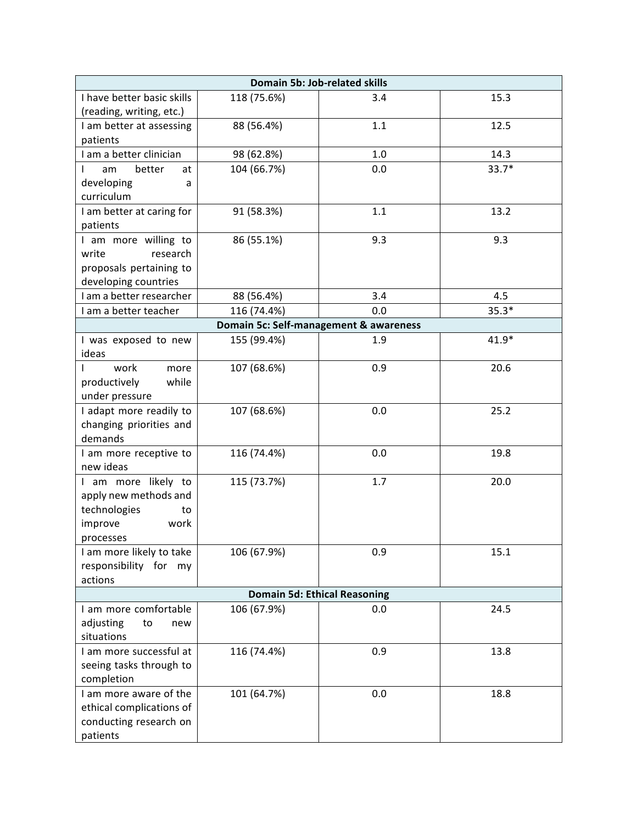| Domain 5b: Job-related skills                  |             |                                        |         |
|------------------------------------------------|-------------|----------------------------------------|---------|
| I have better basic skills                     | 118 (75.6%) | 3.4                                    | 15.3    |
| (reading, writing, etc.)                       |             |                                        |         |
| I am better at assessing                       | 88 (56.4%)  | 1.1                                    | 12.5    |
| patients                                       |             |                                        |         |
| I am a better clinician                        | 98 (62.8%)  | 1.0                                    | 14.3    |
| better<br>am<br>at                             | 104 (66.7%) | 0.0                                    | $33.7*$ |
| developing<br>a                                |             |                                        |         |
| curriculum                                     |             |                                        |         |
| I am better at caring for                      | 91 (58.3%)  | 1.1                                    | 13.2    |
| patients                                       | 86 (55.1%)  | 9.3                                    | 9.3     |
| I am more willing to<br>write<br>research      |             |                                        |         |
| proposals pertaining to                        |             |                                        |         |
| developing countries                           |             |                                        |         |
| I am a better researcher                       | 88 (56.4%)  | 3.4                                    | 4.5     |
| I am a better teacher                          | 116 (74.4%) | 0.0                                    | $35.3*$ |
|                                                |             | Domain 5c: Self-management & awareness |         |
| I was exposed to new                           | 155 (99.4%) | 1.9                                    | $41.9*$ |
| ideas                                          |             |                                        |         |
| work<br>more                                   | 107 (68.6%) | 0.9                                    | 20.6    |
| productively<br>while                          |             |                                        |         |
| under pressure                                 |             |                                        |         |
| I adapt more readily to                        | 107 (68.6%) | 0.0                                    | 25.2    |
| changing priorities and                        |             |                                        |         |
| demands                                        |             |                                        |         |
| I am more receptive to                         | 116 (74.4%) | 0.0                                    | 19.8    |
| new ideas                                      |             |                                        |         |
| I am more likely to                            | 115 (73.7%) | 1.7                                    | 20.0    |
| apply new methods and                          |             |                                        |         |
| technologies<br>to                             |             |                                        |         |
| improve<br>work                                |             |                                        |         |
| processes                                      |             | 0.9                                    |         |
| I am more likely to take<br>responsibility for | 106 (67.9%) |                                        | 15.1    |
| my<br>actions                                  |             |                                        |         |
|                                                |             | <b>Domain 5d: Ethical Reasoning</b>    |         |
| I am more comfortable                          | 106 (67.9%) | 0.0                                    | 24.5    |
| adjusting<br>to<br>new                         |             |                                        |         |
| situations                                     |             |                                        |         |
| I am more successful at                        | 116 (74.4%) | 0.9                                    | 13.8    |
| seeing tasks through to                        |             |                                        |         |
| completion                                     |             |                                        |         |
| I am more aware of the                         | 101 (64.7%) | 0.0                                    | 18.8    |
| ethical complications of                       |             |                                        |         |
| conducting research on                         |             |                                        |         |
| patients                                       |             |                                        |         |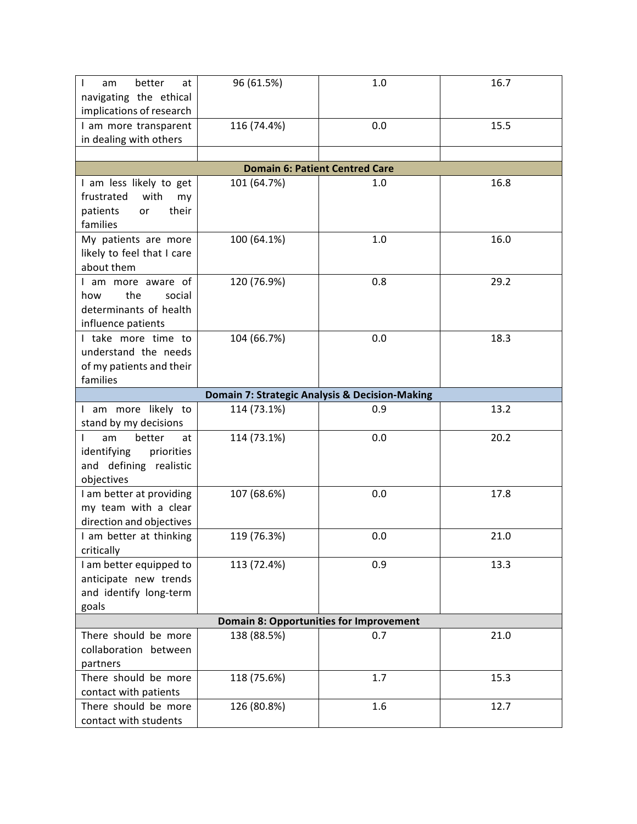| better<br>I<br>at<br>am<br>navigating the ethical<br>implications of research                | 96 (61.5%)  | 1.0                                            | 16.7 |
|----------------------------------------------------------------------------------------------|-------------|------------------------------------------------|------|
| I am more transparent<br>in dealing with others                                              | 116 (74.4%) | 0.0                                            | 15.5 |
|                                                                                              |             |                                                |      |
|                                                                                              |             | <b>Domain 6: Patient Centred Care</b>          |      |
| I am less likely to get<br>frustrated<br>with<br>my<br>patients<br>their<br>or<br>families   | 101 (64.7%) | 1.0                                            | 16.8 |
| My patients are more<br>likely to feel that I care<br>about them                             | 100 (64.1%) | 1.0                                            | 16.0 |
| I am more aware of<br>the<br>how<br>social<br>determinants of health<br>influence patients   | 120 (76.9%) | 0.8                                            | 29.2 |
| I take more time to<br>understand the needs<br>of my patients and their<br>families          | 104 (66.7%) | 0.0                                            | 18.3 |
|                                                                                              |             | Domain 7: Strategic Analysis & Decision-Making |      |
| I am more likely to<br>stand by my decisions                                                 | 114 (73.1%) | 0.9                                            | 13.2 |
| better<br>am<br>L<br>at<br>identifying<br>priorities<br>and defining realistic<br>objectives | 114 (73.1%) | 0.0                                            | 20.2 |
| I am better at providing<br>my team with a clear<br>direction and objectives                 | 107 (68.6%) | 0.0                                            | 17.8 |
| I am better at thinking<br>critically                                                        | 119 (76.3%) | 0.0                                            | 21.0 |
| I am better equipped to<br>anticipate new trends<br>and identify long-term<br>goals          | 113 (72.4%) | 0.9                                            | 13.3 |
|                                                                                              |             | <b>Domain 8: Opportunities for Improvement</b> |      |
| There should be more<br>collaboration between<br>partners                                    | 138 (88.5%) | 0.7                                            | 21.0 |
| There should be more<br>contact with patients                                                | 118 (75.6%) | 1.7                                            | 15.3 |
| There should be more<br>contact with students                                                | 126 (80.8%) | 1.6                                            | 12.7 |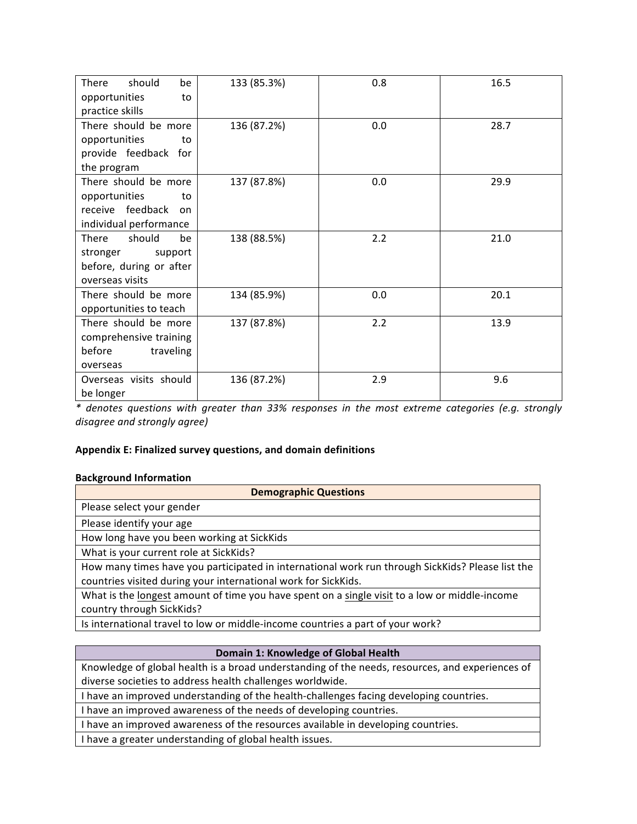| should<br><b>There</b><br>be      | 133 (85.3%) | 0.8 | 16.5 |
|-----------------------------------|-------------|-----|------|
| opportunities<br>to               |             |     |      |
| practice skills                   |             |     |      |
| There should be more              | 136 (87.2%) | 0.0 | 28.7 |
| opportunities<br>to               |             |     |      |
| provide feedback for              |             |     |      |
| the program                       |             |     |      |
| There should be more              | 137 (87.8%) | 0.0 | 29.9 |
| opportunities<br>to               |             |     |      |
| receive feedback<br><sub>on</sub> |             |     |      |
| individual performance            |             |     |      |
| should<br>There<br>be             | 138 (88.5%) | 2.2 | 21.0 |
| stronger<br>support               |             |     |      |
| before, during or after           |             |     |      |
| overseas visits                   |             |     |      |
| There should be more              | 134 (85.9%) | 0.0 | 20.1 |
| opportunities to teach            |             |     |      |
| There should be more              | 137 (87.8%) | 2.2 | 13.9 |
| comprehensive training            |             |     |      |
| before<br>traveling               |             |     |      |
| overseas                          |             |     |      |
| Overseas visits should            | 136 (87.2%) | 2.9 | 9.6  |
| be longer                         |             |     |      |

*\* denotes questions with greater than 33% responses in the most extreme categories (e.g. strongly disagree and strongly agree)*

## Appendix E: Finalized survey questions, and domain definitions

## **Background Information**

| <b>Demographic Questions</b>                                                                     |  |  |  |  |
|--------------------------------------------------------------------------------------------------|--|--|--|--|
| Please select your gender                                                                        |  |  |  |  |
| Please identify your age                                                                         |  |  |  |  |
| How long have you been working at SickKids                                                       |  |  |  |  |
| What is your current role at SickKids?                                                           |  |  |  |  |
| How many times have you participated in international work run through SickKids? Please list the |  |  |  |  |
| countries visited during your international work for SickKids.                                   |  |  |  |  |
| What is the longest amount of time you have spent on a single visit to a low or middle-income    |  |  |  |  |
| country through SickKids?                                                                        |  |  |  |  |
| Is international travel to low or middle-income countries a part of your work?                   |  |  |  |  |

## **Domain 1: Knowledge of Global Health**

Knowledge of global health is a broad understanding of the needs, resources, and experiences of diverse societies to address health challenges worldwide.

I have an improved understanding of the health-challenges facing developing countries.

I have an improved awareness of the needs of developing countries.

I have an improved awareness of the resources available in developing countries.

I have a greater understanding of global health issues.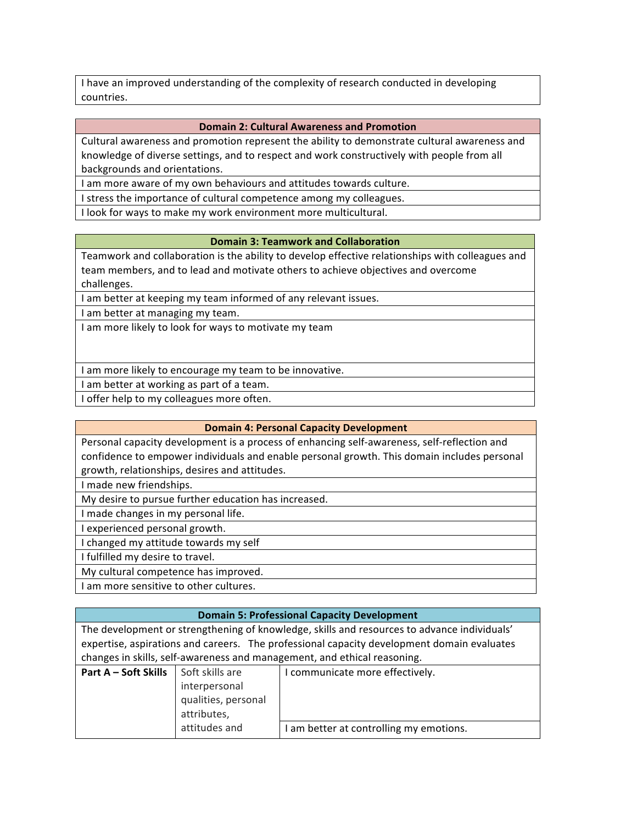I have an improved understanding of the complexity of research conducted in developing countries. 

#### **Domain 2: Cultural Awareness and Promotion**

Cultural awareness and promotion represent the ability to demonstrate cultural awareness and knowledge of diverse settings, and to respect and work constructively with people from all backgrounds and orientations.

I am more aware of my own behaviours and attitudes towards culture.

I stress the importance of cultural competence among my colleagues.

I look for ways to make my work environment more multicultural.

#### **Domain 3: Teamwork and Collaboration**

Teamwork and collaboration is the ability to develop effective relationships with colleagues and team members, and to lead and motivate others to achieve objectives and overcome challenges.

I am better at keeping my team informed of any relevant issues.

I am better at managing my team.

I am more likely to look for ways to motivate my team

I am more likely to encourage my team to be innovative.

I am better at working as part of a team.

I offer help to my colleagues more often.

#### **Domain 4: Personal Capacity Development**

Personal capacity development is a process of enhancing self-awareness, self-reflection and confidence to empower individuals and enable personal growth. This domain includes personal growth, relationships, desires and attitudes.

I made new friendships.

My desire to pursue further education has increased.

I made changes in my personal life.

I experienced personal growth.

I changed my attitude towards my self

I fulfilled my desire to travel.

My cultural competence has improved.

I am more sensitive to other cultures.

## **Domain 5: Professional Capacity Development**

The development or strengthening of knowledge, skills and resources to advance individuals' expertise, aspirations and careers. The professional capacity development domain evaluates changes in skills, self-awareness and management, and ethical reasoning.

| Part A – Soft Skills | Soft skills are     | communicate more effectively.         |
|----------------------|---------------------|---------------------------------------|
|                      | interpersonal       |                                       |
|                      | qualities, personal |                                       |
|                      | attributes,         |                                       |
|                      | attitudes and       | am better at controlling my emotions. |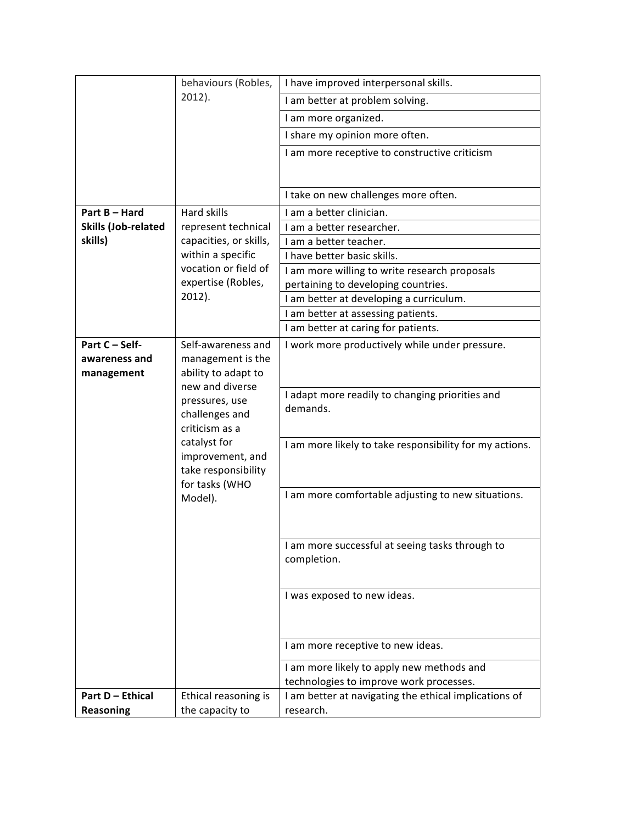|                            | behaviours (Robles,                | I have improved interpersonal skills.                   |
|----------------------------|------------------------------------|---------------------------------------------------------|
|                            | $2012$ ).                          | I am better at problem solving.                         |
|                            |                                    | I am more organized.                                    |
|                            |                                    | I share my opinion more often.                          |
|                            |                                    | I am more receptive to constructive criticism           |
|                            |                                    |                                                         |
|                            |                                    |                                                         |
|                            |                                    | I take on new challenges more often.                    |
| Part B - Hard              | <b>Hard skills</b>                 | I am a better clinician.                                |
| <b>Skills (Job-related</b> | represent technical                | I am a better researcher.                               |
| skills)                    | capacities, or skills,             | I am a better teacher.                                  |
|                            | within a specific                  | I have better basic skills.                             |
|                            | vocation or field of               | I am more willing to write research proposals           |
|                            | expertise (Robles,                 | pertaining to developing countries.                     |
|                            | $2012$ ).                          | I am better at developing a curriculum.                 |
|                            | I am better at assessing patients. |                                                         |
|                            |                                    | I am better at caring for patients.                     |
| Part C - Self-             | Self-awareness and                 | I work more productively while under pressure.          |
| awareness and              | management is the                  |                                                         |
| management                 | ability to adapt to                |                                                         |
|                            | new and diverse                    | I adapt more readily to changing priorities and         |
|                            | pressures, use                     | demands.                                                |
|                            | challenges and                     |                                                         |
|                            | criticism as a                     |                                                         |
|                            | catalyst for                       | I am more likely to take responsibility for my actions. |
|                            | improvement, and                   |                                                         |
|                            | take responsibility                |                                                         |
|                            | for tasks (WHO<br>Model).          | I am more comfortable adjusting to new situations.      |
|                            |                                    |                                                         |
|                            |                                    |                                                         |
|                            |                                    |                                                         |
|                            |                                    | I am more successful at seeing tasks through to         |
|                            |                                    | completion.                                             |
|                            |                                    |                                                         |
|                            |                                    | I was exposed to new ideas.                             |
|                            |                                    |                                                         |
|                            |                                    |                                                         |
|                            |                                    |                                                         |
|                            |                                    | I am more receptive to new ideas.                       |
|                            |                                    | I am more likely to apply new methods and               |
|                            |                                    | technologies to improve work processes.                 |
| <b>Part D - Ethical</b>    | Ethical reasoning is               | I am better at navigating the ethical implications of   |
| <b>Reasoning</b>           | the capacity to                    | research.                                               |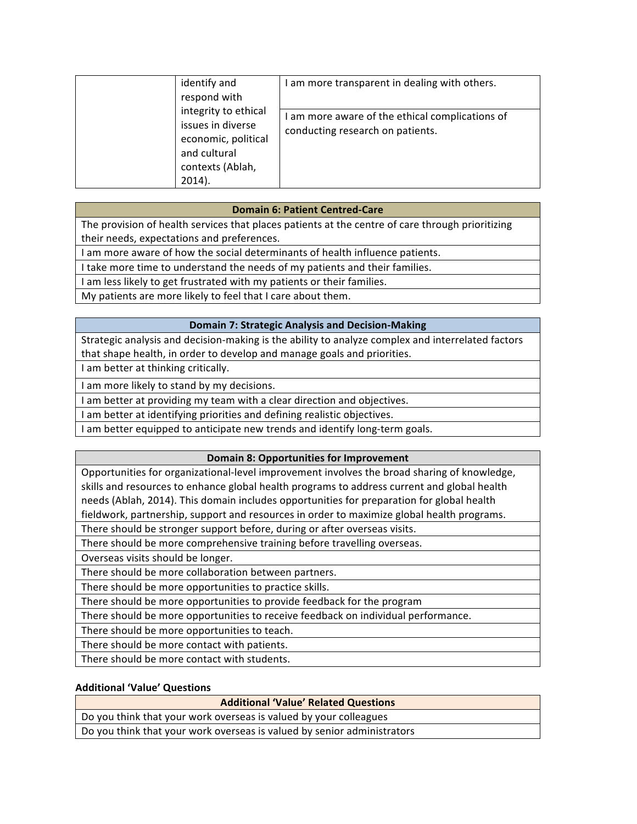| identify and<br>respond with                                                                                      | am more transparent in dealing with others.                                       |
|-------------------------------------------------------------------------------------------------------------------|-----------------------------------------------------------------------------------|
| integrity to ethical<br>issues in diverse<br>economic, political<br>and cultural<br>contexts (Ablah,<br>$2014$ ). | am more aware of the ethical complications of<br>conducting research on patients. |

## **Domain 6: Patient Centred-Care**

The provision of health services that places patients at the centre of care through prioritizing their needs, expectations and preferences.

I am more aware of how the social determinants of health influence patients.

I take more time to understand the needs of my patients and their families.

I am less likely to get frustrated with my patients or their families.

My patients are more likely to feel that I care about them.

## **Domain 7: Strategic Analysis and Decision-Making**

Strategic analysis and decision-making is the ability to analyze complex and interrelated factors that shape health, in order to develop and manage goals and priorities.

I am better at thinking critically.

I am more likely to stand by my decisions.

I am better at providing my team with a clear direction and objectives.

I am better at identifying priorities and defining realistic objectives.

I am better equipped to anticipate new trends and identify long-term goals.

## **Domain 8: Opportunities for Improvement**

Opportunities for organizational-level improvement involves the broad sharing of knowledge, skills and resources to enhance global health programs to address current and global health needs (Ablah, 2014). This domain includes opportunities for preparation for global health fieldwork, partnership, support and resources in order to maximize global health programs.

There should be stronger support before, during or after overseas visits.

There should be more comprehensive training before travelling overseas.

Overseas visits should be longer.

There should be more collaboration between partners.

There should be more opportunities to practice skills.

There should be more opportunities to provide feedback for the program

There should be more opportunities to receive feedback on individual performance.

There should be more opportunities to teach.

There should be more contact with patients.

There should be more contact with students.

## **Additional 'Value' Questions**

## **Additional 'Value' Related Questions**

Do you think that your work overseas is valued by your colleagues

Do you think that your work overseas is valued by senior administrators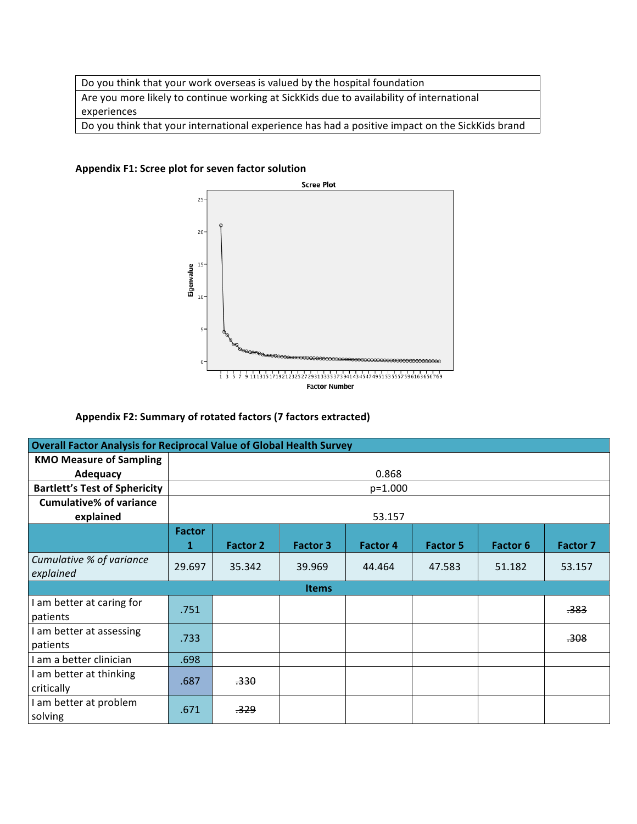Do you think that your work overseas is valued by the hospital foundation Are you more likely to continue working at SickKids due to availability of international experiences Do you think that your international experience has had a positive impact on the SickKids brand

Appendix F1: Scree plot for seven factor solution



## Appendix F2: Summary of rotated factors (7 factors extracted)

| <b>Overall Factor Analysis for Reciprocal Value of Global Health Survey</b> |                    |                 |                 |                 |                 |                 |                  |
|-----------------------------------------------------------------------------|--------------------|-----------------|-----------------|-----------------|-----------------|-----------------|------------------|
| <b>KMO Measure of Sampling</b>                                              |                    |                 |                 |                 |                 |                 |                  |
| <b>Adequacy</b>                                                             |                    |                 |                 | 0.868           |                 |                 |                  |
| <b>Bartlett's Test of Sphericity</b>                                        |                    |                 |                 | $p=1.000$       |                 |                 |                  |
| <b>Cumulative% of variance</b>                                              |                    |                 |                 |                 |                 |                 |                  |
| explained                                                                   |                    |                 |                 | 53.157          |                 |                 |                  |
|                                                                             | <b>Factor</b><br>1 | <b>Factor 2</b> | <b>Factor 3</b> | <b>Factor 4</b> | <b>Factor 5</b> | <b>Factor 6</b> | <b>Factor 7</b>  |
| Cumulative % of variance<br>explained                                       | 29.697             | 35.342          | 39.969          | 44.464          | 47.583          | 51.182          | 53.157           |
|                                                                             |                    |                 | <b>Items</b>    |                 |                 |                 |                  |
| am better at caring for<br>patients                                         | .751               |                 |                 |                 |                 |                 | <del>.383</del>  |
| I am better at assessing<br>patients                                        | .733               |                 |                 |                 |                 |                 | <del>.308.</del> |
| I am a better clinician                                                     | .698               |                 |                 |                 |                 |                 |                  |
| I am better at thinking<br>critically                                       | .687               | <del>.330</del> |                 |                 |                 |                 |                  |
| I am better at problem<br>solving                                           | .671               | <del>.329</del> |                 |                 |                 |                 |                  |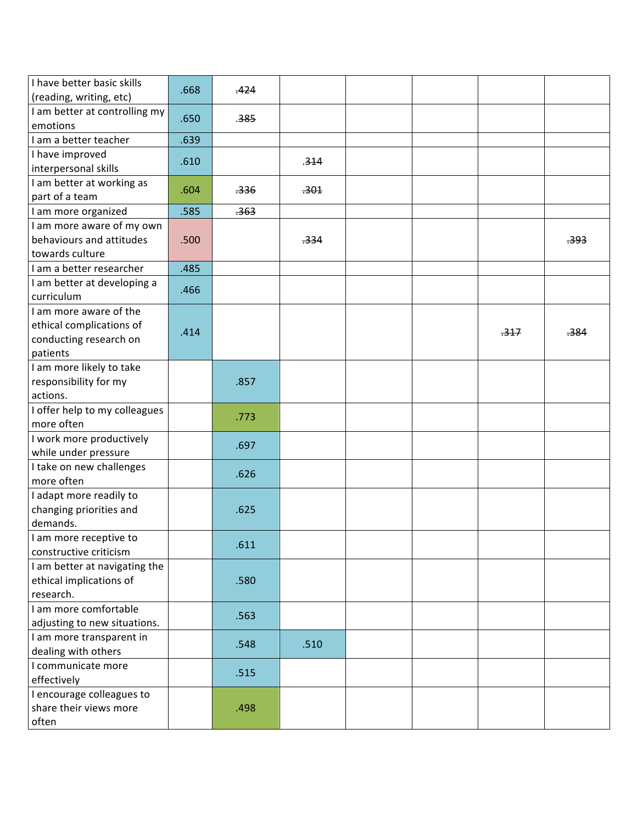| I have better basic skills<br>(reading, writing, etc) | .668 | .424 |      |  |      |                 |
|-------------------------------------------------------|------|------|------|--|------|-----------------|
| I am better at controlling my<br>emotions             | .650 | .385 |      |  |      |                 |
| I am a better teacher                                 | .639 |      |      |  |      |                 |
| I have improved                                       |      |      |      |  |      |                 |
| interpersonal skills                                  | .610 |      | .314 |  |      |                 |
| I am better at working as                             |      |      |      |  |      |                 |
| part of a team                                        | .604 | .336 | .301 |  |      |                 |
| I am more organized                                   | .585 | .363 |      |  |      |                 |
| I am more aware of my own                             |      |      |      |  |      |                 |
| behaviours and attitudes                              | .500 |      | .334 |  |      | <del>.393</del> |
| towards culture                                       |      |      |      |  |      |                 |
| I am a better researcher                              | .485 |      |      |  |      |                 |
| I am better at developing a                           |      |      |      |  |      |                 |
| curriculum                                            | .466 |      |      |  |      |                 |
| I am more aware of the                                |      |      |      |  |      |                 |
| ethical complications of                              |      |      |      |  |      |                 |
| conducting research on                                | .414 |      |      |  | .317 | .384            |
| patients                                              |      |      |      |  |      |                 |
| I am more likely to take                              |      |      |      |  |      |                 |
| responsibility for my                                 |      | .857 |      |  |      |                 |
| actions.                                              |      |      |      |  |      |                 |
| I offer help to my colleagues                         |      |      |      |  |      |                 |
| more often                                            |      | .773 |      |  |      |                 |
| I work more productively                              |      |      |      |  |      |                 |
| while under pressure                                  |      | .697 |      |  |      |                 |
| I take on new challenges                              |      |      |      |  |      |                 |
| more often                                            |      | .626 |      |  |      |                 |
| I adapt more readily to                               |      |      |      |  |      |                 |
| changing priorities and                               |      | .625 |      |  |      |                 |
| demands.                                              |      |      |      |  |      |                 |
| I am more receptive to                                |      |      |      |  |      |                 |
| constructive criticism                                |      | .611 |      |  |      |                 |
| I am better at navigating the                         |      |      |      |  |      |                 |
| ethical implications of                               |      | .580 |      |  |      |                 |
| research.                                             |      |      |      |  |      |                 |
| I am more comfortable                                 |      |      |      |  |      |                 |
| adjusting to new situations.                          |      | .563 |      |  |      |                 |
| I am more transparent in                              |      |      |      |  |      |                 |
| dealing with others                                   |      | .548 | .510 |  |      |                 |
| I communicate more                                    |      |      |      |  |      |                 |
| effectively                                           |      | .515 |      |  |      |                 |
| I encourage colleagues to                             |      |      |      |  |      |                 |
| share their views more                                |      | .498 |      |  |      |                 |
| often                                                 |      |      |      |  |      |                 |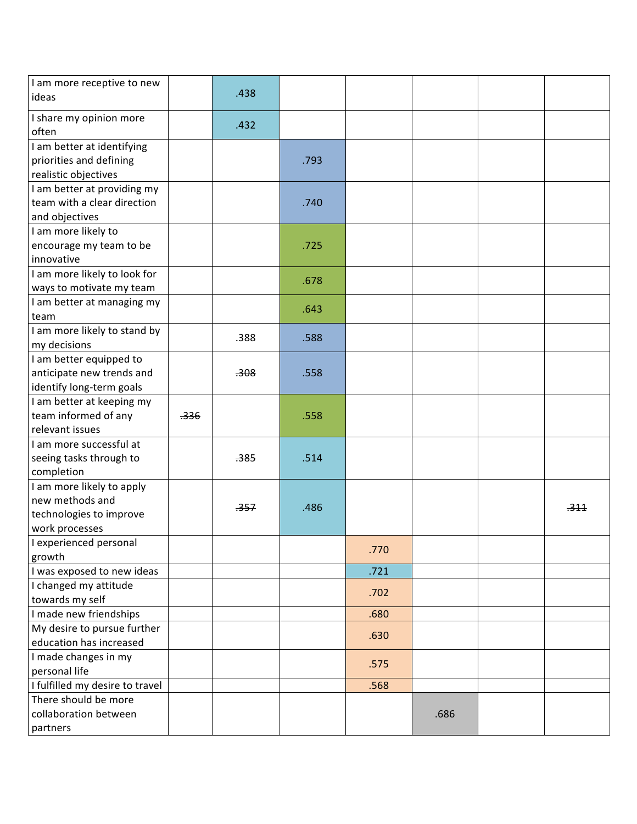| I am more receptive to new<br>ideas                                                       |      | .438 |      |      |      |      |
|-------------------------------------------------------------------------------------------|------|------|------|------|------|------|
| I share my opinion more<br>often                                                          |      | .432 |      |      |      |      |
| I am better at identifying<br>priorities and defining<br>realistic objectives             |      |      | .793 |      |      |      |
| I am better at providing my<br>team with a clear direction<br>and objectives              |      |      | .740 |      |      |      |
| I am more likely to<br>encourage my team to be<br>innovative                              |      |      | .725 |      |      |      |
| I am more likely to look for<br>ways to motivate my team                                  |      |      | .678 |      |      |      |
| I am better at managing my<br>team                                                        |      |      | .643 |      |      |      |
| I am more likely to stand by<br>my decisions                                              |      | .388 | .588 |      |      |      |
| I am better equipped to<br>anticipate new trends and<br>identify long-term goals          |      | .308 | .558 |      |      |      |
| I am better at keeping my<br>team informed of any<br>relevant issues                      | .336 |      | .558 |      |      |      |
| I am more successful at<br>seeing tasks through to<br>completion                          |      | .385 | .514 |      |      |      |
| I am more likely to apply<br>new methods and<br>technologies to improve<br>work processes |      | .357 | .486 |      |      | .344 |
| I experienced personal<br>growth                                                          |      |      |      | .770 |      |      |
| I was exposed to new ideas                                                                |      |      |      | .721 |      |      |
| I changed my attitude<br>towards my self                                                  |      |      |      | .702 |      |      |
| I made new friendships                                                                    |      |      |      | .680 |      |      |
| My desire to pursue further<br>education has increased                                    |      |      |      | .630 |      |      |
| I made changes in my<br>personal life                                                     |      |      |      | .575 |      |      |
| I fulfilled my desire to travel                                                           |      |      |      | .568 |      |      |
| There should be more                                                                      |      |      |      |      |      |      |
| collaboration between                                                                     |      |      |      |      | .686 |      |
| partners                                                                                  |      |      |      |      |      |      |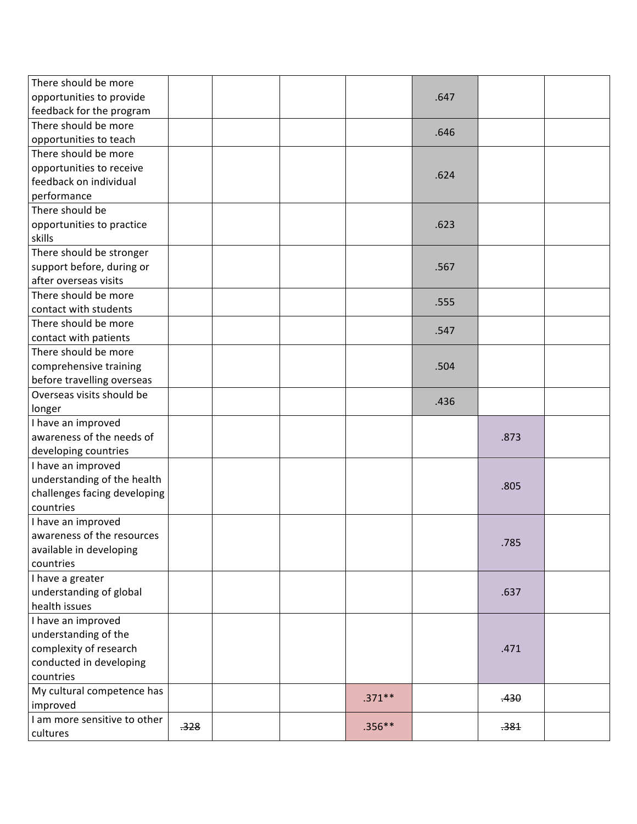| There should be more<br>opportunities to provide |      |  |           | .647 |      |  |
|--------------------------------------------------|------|--|-----------|------|------|--|
| feedback for the program                         |      |  |           |      |      |  |
| There should be more                             |      |  |           |      |      |  |
| opportunities to teach                           |      |  |           | .646 |      |  |
| There should be more                             |      |  |           |      |      |  |
| opportunities to receive                         |      |  |           |      |      |  |
| feedback on individual                           |      |  |           | .624 |      |  |
| performance                                      |      |  |           |      |      |  |
| There should be                                  |      |  |           |      |      |  |
| opportunities to practice                        |      |  |           | .623 |      |  |
| skills                                           |      |  |           |      |      |  |
| There should be stronger                         |      |  |           |      |      |  |
| support before, during or                        |      |  |           | .567 |      |  |
| after overseas visits                            |      |  |           |      |      |  |
| There should be more                             |      |  |           | .555 |      |  |
| contact with students                            |      |  |           |      |      |  |
| There should be more                             |      |  |           | .547 |      |  |
| contact with patients                            |      |  |           |      |      |  |
| There should be more                             |      |  |           |      |      |  |
| comprehensive training                           |      |  |           | .504 |      |  |
| before travelling overseas                       |      |  |           |      |      |  |
| Overseas visits should be                        |      |  |           | .436 |      |  |
| longer                                           |      |  |           |      |      |  |
| I have an improved                               |      |  |           |      |      |  |
| awareness of the needs of                        |      |  |           |      | .873 |  |
| developing countries                             |      |  |           |      |      |  |
| I have an improved                               |      |  |           |      |      |  |
| understanding of the health                      |      |  |           |      | .805 |  |
| challenges facing developing                     |      |  |           |      |      |  |
| countries                                        |      |  |           |      |      |  |
| I have an improved                               |      |  |           |      |      |  |
| awareness of the resources                       |      |  |           |      | .785 |  |
| available in developing                          |      |  |           |      |      |  |
| countries                                        |      |  |           |      |      |  |
| I have a greater                                 |      |  |           |      |      |  |
| understanding of global                          |      |  |           |      | .637 |  |
| health issues                                    |      |  |           |      |      |  |
| I have an improved                               |      |  |           |      |      |  |
| understanding of the                             |      |  |           |      |      |  |
| complexity of research                           |      |  |           |      | .471 |  |
| conducted in developing                          |      |  |           |      |      |  |
| countries                                        |      |  |           |      |      |  |
| My cultural competence has                       |      |  | $.371***$ |      | .430 |  |
| improved<br>I am more sensitive to other         |      |  |           |      |      |  |
|                                                  | .328 |  | $.356***$ |      | .381 |  |
| cultures                                         |      |  |           |      |      |  |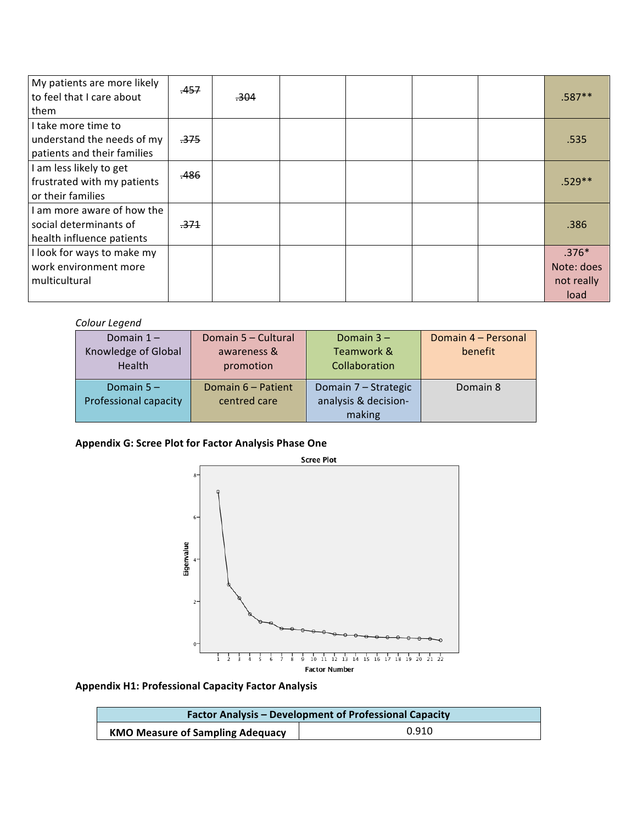| My patients are more likely | .457            |                 |  |  |            |
|-----------------------------|-----------------|-----------------|--|--|------------|
| to feel that I care about   |                 | <del>.304</del> |  |  | .587**     |
| them                        |                 |                 |  |  |            |
| I take more time to         |                 |                 |  |  |            |
| understand the needs of my  | <del>.375</del> |                 |  |  | .535       |
| patients and their families |                 |                 |  |  |            |
| I am less likely to get     |                 |                 |  |  |            |
| frustrated with my patients | .486            |                 |  |  | $.529**$   |
| or their families           |                 |                 |  |  |            |
| I am more aware of how the  |                 |                 |  |  |            |
| social determinants of      | <del>.371</del> |                 |  |  | .386       |
| health influence patients   |                 |                 |  |  |            |
| I look for ways to make my  |                 |                 |  |  | $.376*$    |
| work environment more       |                 |                 |  |  | Note: does |
| multicultural               |                 |                 |  |  | not really |
|                             |                 |                 |  |  | load       |

## *Colour Legend*

| Domain $1 -$                          | Domain 5 - Cultural                | Domain $3 -$                                 | Domain 4 - Personal |
|---------------------------------------|------------------------------------|----------------------------------------------|---------------------|
| Knowledge of Global                   | awareness &                        | Teamwork &                                   | benefit             |
| Health                                | promotion                          | Collaboration                                |                     |
| Domain $5 -$<br>Professional capacity | Domain 6 - Patient<br>centred care | Domain 7 - Strategic<br>analysis & decision- | Domain 8            |
|                                       |                                    | making                                       |                     |

# Appendix G: Scree Plot for Factor Analysis Phase One



**Appendix H1: Professional Capacity Factor Analysis** 

| <b>Factor Analysis - Development of Professional Capacity</b> |       |  |  |  |  |
|---------------------------------------------------------------|-------|--|--|--|--|
| <b>KMO Measure of Sampling Adequacy</b>                       | 0.910 |  |  |  |  |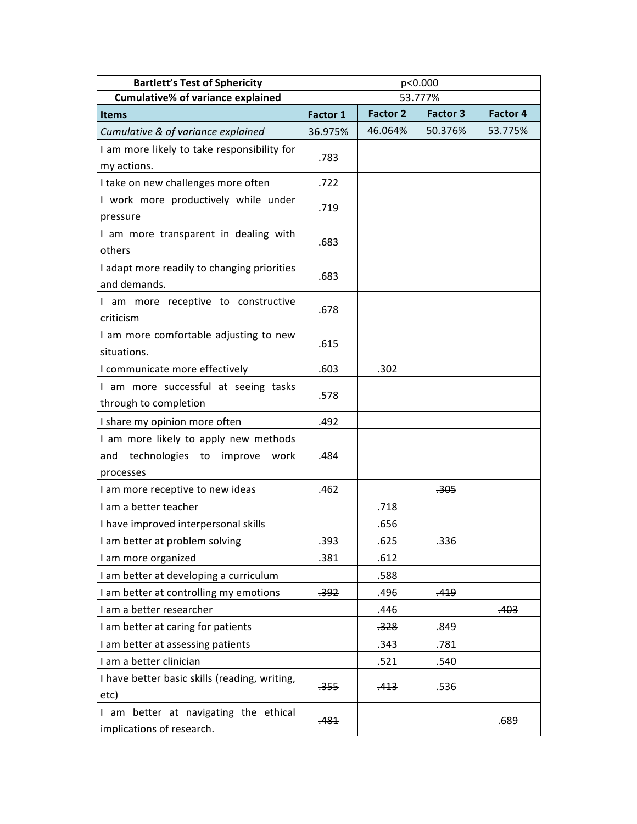| <b>Bartlett's Test of Sphericity</b>                                                            | p<0.000         |                 |                 |                 |  |  |  |
|-------------------------------------------------------------------------------------------------|-----------------|-----------------|-----------------|-----------------|--|--|--|
| <b>Cumulative% of variance explained</b>                                                        | 53.777%         |                 |                 |                 |  |  |  |
| <b>Items</b>                                                                                    | <b>Factor 1</b> | <b>Factor 2</b> | <b>Factor 3</b> | <b>Factor 4</b> |  |  |  |
| Cumulative & of variance explained                                                              | 36.975%         | 46.064%         | 50.376%         | 53.775%         |  |  |  |
| I am more likely to take responsibility for                                                     | .783            |                 |                 |                 |  |  |  |
| my actions.                                                                                     |                 |                 |                 |                 |  |  |  |
| I take on new challenges more often                                                             | .722            |                 |                 |                 |  |  |  |
| I work more productively while under<br>pressure                                                | .719            |                 |                 |                 |  |  |  |
| I am more transparent in dealing with<br>others                                                 | .683            |                 |                 |                 |  |  |  |
| I adapt more readily to changing priorities<br>and demands.                                     | .683            |                 |                 |                 |  |  |  |
| I am more receptive to constructive<br>criticism                                                | .678            |                 |                 |                 |  |  |  |
| I am more comfortable adjusting to new<br>situations.                                           | .615            |                 |                 |                 |  |  |  |
| I communicate more effectively                                                                  | .603            | .302            |                 |                 |  |  |  |
| I am more successful at seeing tasks<br>through to completion                                   | .578            |                 |                 |                 |  |  |  |
| I share my opinion more often                                                                   | .492            |                 |                 |                 |  |  |  |
| I am more likely to apply new methods<br>technologies to<br>improve<br>work<br>and<br>processes | .484            |                 |                 |                 |  |  |  |
| I am more receptive to new ideas                                                                | .462            |                 | <del>.305</del> |                 |  |  |  |
| I am a better teacher                                                                           |                 | .718            |                 |                 |  |  |  |
| I have improved interpersonal skills                                                            |                 | .656            |                 |                 |  |  |  |
| I am better at problem solving                                                                  | <del>.393</del> | .625            | .336            |                 |  |  |  |
| I am more organized                                                                             | <del>.381</del> | .612            |                 |                 |  |  |  |
| I am better at developing a curriculum                                                          |                 | .588            |                 |                 |  |  |  |
| I am better at controlling my emotions                                                          | <del>.392</del> | .496            | .419            |                 |  |  |  |
| I am a better researcher                                                                        |                 | .446            |                 | .403            |  |  |  |
| I am better at caring for patients                                                              |                 | <del>.328</del> | .849            |                 |  |  |  |
| I am better at assessing patients                                                               |                 | .343            | .781            |                 |  |  |  |
| I am a better clinician                                                                         |                 | .521            | .540            |                 |  |  |  |
| I have better basic skills (reading, writing,<br>etc)                                           | <del>.355</del> | <del>.413</del> | .536            |                 |  |  |  |
| I am better at navigating the ethical<br>implications of research.                              | .481            |                 |                 | .689            |  |  |  |